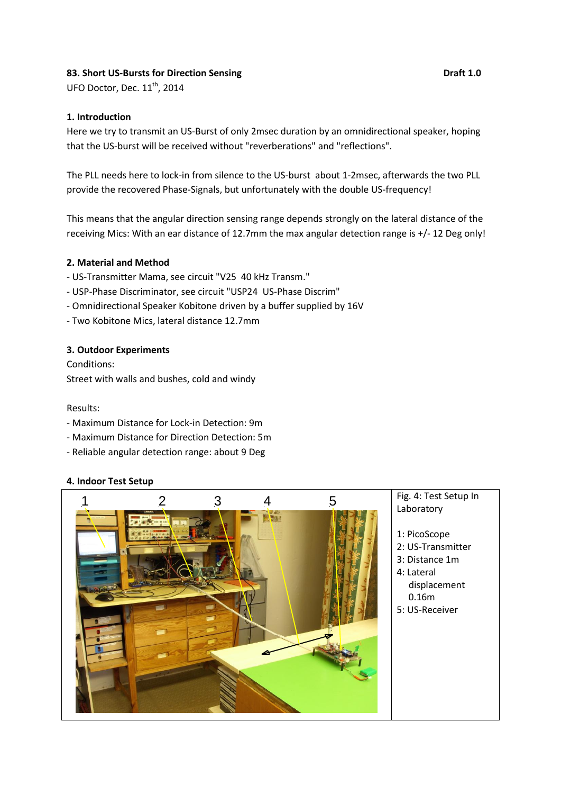# **83. Short US-Bursts for Direction Sensing Community Community Community Community Community Community Community Community Community Community Community Community Community Community Community Community Community Community**

UFO Doctor, Dec. 11<sup>th</sup>, 2014

# **1. Introduction**

Here we try to transmit an US-Burst of only 2msec duration by an omnidirectional speaker, hoping that the US-burst will be received without "reverberations" and "reflections".

The PLL needs here to lock-in from silence to the US-burst about 1-2msec, afterwards the two PLL provide the recovered Phase-Signals, but unfortunately with the double US-frequency!

This means that the angular direction sensing range depends strongly on the lateral distance of the receiving Mics: With an ear distance of 12.7mm the max angular detection range is +/- 12 Deg only!

# **2. Material and Method**

- US-Transmitter Mama, see circuit "V25 40 kHz Transm."
- USP-Phase Discriminator, see circuit "USP24 US-Phase Discrim"
- Omnidirectional Speaker Kobitone driven by a buffer supplied by 16V
- Two Kobitone Mics, lateral distance 12.7mm

# **3. Outdoor Experiments**

Conditions: Street with walls and bushes, cold and windy

#### Results:

- Maximum Distance for Lock-in Detection: 9m
- Maximum Distance for Direction Detection: 5m
- Reliable angular detection range: about 9 Deg

# **4. Indoor Test Setup**



Fig. 4: Test Setup In Laboratory

- 1: PicoScope
- 2: US-Transmitter
- 3: Distance 1m
- 4: Lateral
- displacement 0.16m
- 5: US-Receiver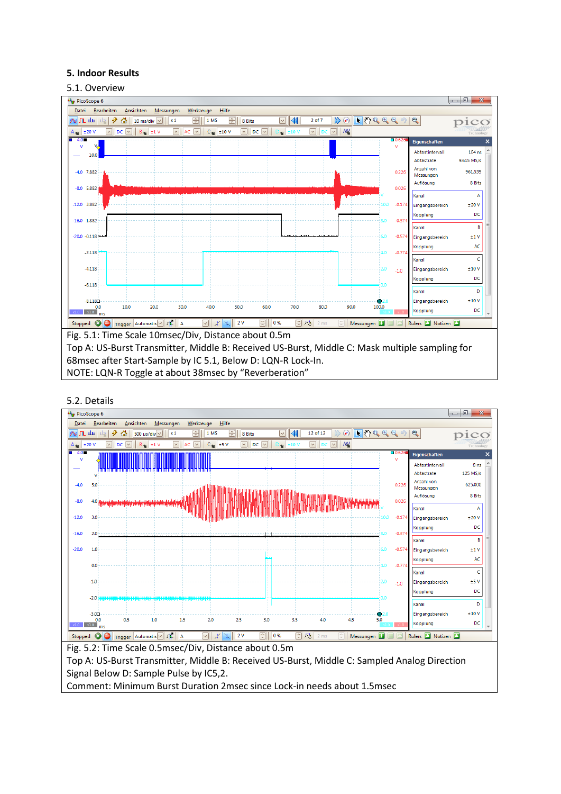# **5. Indoor Results**

#### 5.1. Overview



#### 5.2. Details

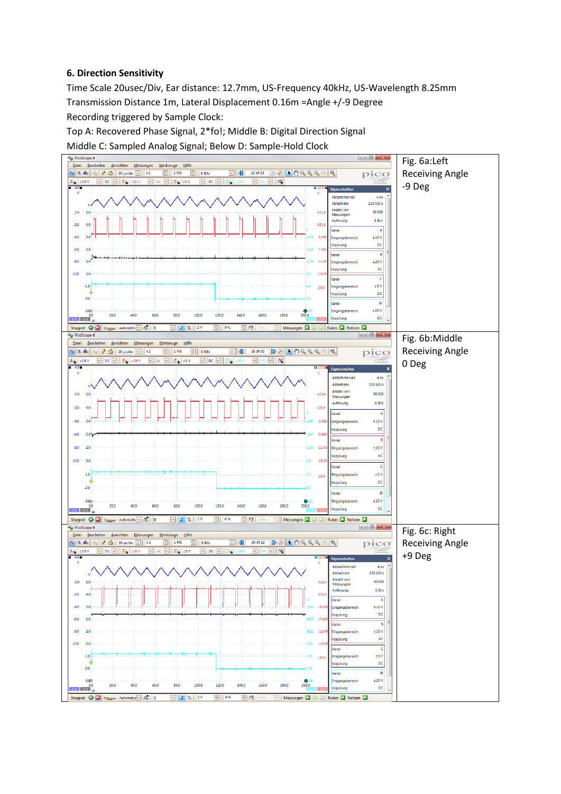# **6. Direction Sensitivity**

Time Scale 20usec/Div, Ear distance: 12.7mm, US-Frequency 40kHz, US-Wavelength 8.25mm Transmission Distance 1m, Lateral Displacement 0.16m =Angle +/-9 Degree Recording triggered by Sample Clock:

Top A: Recovered Phase Signal, 2\*fo!; Middle B: Digital Direction Signal Middle C: Sampled Analog Signal; Below D: Sample-Hold Clock

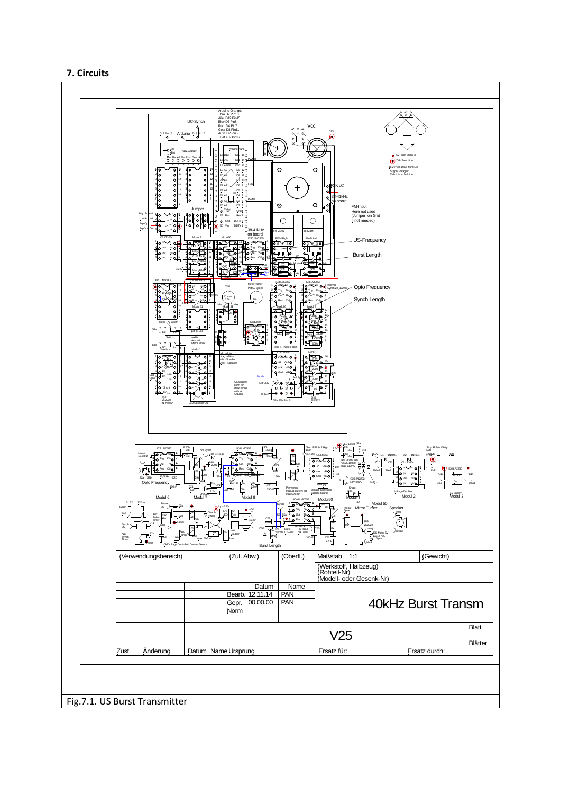# **7. Circuits**